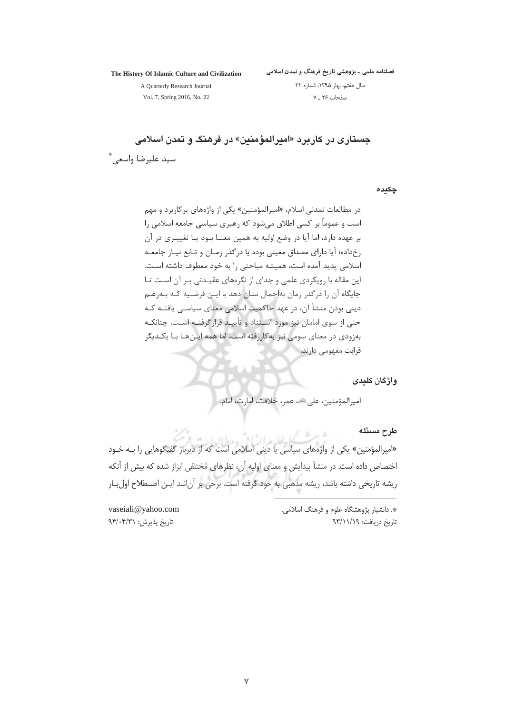The History Of Islamic Culture and Civilization

فصلنامه علمی ــ پژوهشی تاریخ فرهنگ و تمدن اسلامی سال هفتم، بهار ١٣٩۵، شماره ٢٢

صفحات ۲۶ ـ ۷

A Quarterly Research Journal Vol. 7, Spring 2016, No. 22

جستاری در کاربرد «امبرالمؤمنین» در فرهنگ و تمدن اسلامی سيد عليرضا واسعى. ٌ

چکیدہ

در مطالعات تمدنی اسلام، «امیرالمؤمنین» یکی از واژههای پر کاربرد و مهم است و عموماً بر کسی اطلاق میشود که رهبری سیاسی جامعه اسلامی ,ا بر عهده دارد، اما آیا در وضع اولیه به همین معنــا بــود یــا تغییــری در آن رخداده؛ آیا دارای مصداق معینی بوده یا درگذر زمـان و تـابع نیـاز جامعـه اسلامی یدید آمده است، همیشه مباحثی را به خود معطوف داشته اسـت. این مقاله با رویکردی علمی و جدای از نگرههای عقیـدتی بـر آن اسـت تـا جایگاه آن ,ا درگذر زمان بهاجمال نشان دهد با ایـن فرضـیه کـه بـه,غـم دینی بودن منشأ آن، در عهد حاکمیت اسلامی معنای سیاسـی یافتـه کـه حتی از سوی امامان نیز مورد اسـتناد و تأییـد قرارگرفتـه اسـت، چنانکـه بهزودی در معنای سومی نیز به کاررفته است، اما همه ایـنهـا بـا یکـدیگر قرابت مفهومے دارند.

واژگان کلیدی

اميرالمؤمنين، على عليه، عمر، خلافت، امارت، امام.

طرح مسئله

«امیرالمؤمنین» یکی از واژههای سیاسی یا دینی اسلامی است که از دیرباز گفتگوهایی را بـه خـود اختصاص داده است. در منشأ پیدایش و معنای اولیه آن، نظرهای مختلفی ابراز شده که بیش از آنکه ریشه تاریخی داشته باشد، ریشه مذهبی به خود گرفته است. برخی بر آنانـد ایـن اصـطلاح اولبـار

> \*. دانشیار پژوهشگاه علوم و فرهنگ اسلامی. تاریخ دریافت: ۹۳/۱۱/۱۹

vaseiali@yahoo.com تاريخ پذيرش: ٩۴/٠۴/٣١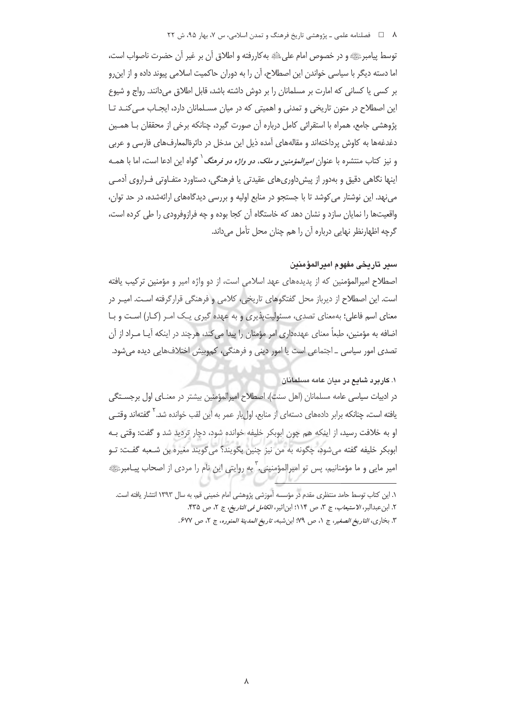#### ۸ = د فصلنامه علمي ـ پژوهشي تاريخ فرهنگ و تمدن اسلامي، س ٧، بهار ۹۵، ش ٢٢

توسط پیامبرﷺ و در خصوص امام علیﷺ به کاررفته و اطلاق آن بر غیر آن حضرت ناصواب است، اما دسته دیگر با سیاسی خواندن این اصطلاح، آن را به دوران حاکمیت اسلامی پیوند داده و از این٫و بر کسی یا کسانی که امارت بر مسلمانان را بر دوش داشته باشد، قابل اطلاق میدانند. رواج و شیوع این اصطلاح در متون تاریخی و تمدنی و اهمیتی که در میان مسـلمانان دارد، ایجـاب مـی کنـد تـا پژوهشی جامع، همراه با استقرائی کامل درباره آن صورت گیرد، چنانکه برخی از محققان بـا همـین دغدغهها به كاوش پرداختهاند و مقالههای آمده ذیل این مدخل در دائرةالمعارفهای فارسی و عربی و نیز کتاب منتشره با عنوان *امیرالمؤمنین و ملک، دو واژه دو فرهنگ <sup>۱</sup> گ*واه این ادعا است، اما با همـه اینها نگاهی دقیق و بهدور از پیشداوریهای عقیدتی یا فرهنگی، دستاورد متفـاوتی فـراروی آدمـی می نهد. این نوشتار می کوشد تا با جستجو در منابع اولیه و بررسی دیدگاههای ارائهشده، در حد توان، واقعیتها را نمایان سازد و نشان دهد که خاستگاه آن کجا بوده و چه فرازوفرودی را طی کرده است، گرچه اظهارنظر نهایی درباره آن را هم چنان محل تأمل میداند.

# سير تاريخي مفهوم اميرالمؤمنين

اصطلاح امیرالمؤمنین که از پدیدههای عهد اسلامی است، از دو واژه امیر و مؤمنین ترکیب یافته است. این اصطلاح از دیرباز محل گفتگوهای تاریخی، کلامی و فرهنگی قرارگرفته است. امیـر در معنای اسم فاعلی؛ بهمعنای تصدی، مسئولیت پذیری و به عهده گیری یـک امـر (کـار) اسـت و بـا اضافه به مؤمنین، طبعاً معنای عهدهداری امر مؤمنان را پیدا می کند، هرچند در اینکه آیـا مـراد از آن تصدی امور سیاسی ۔ اجتماعی است یا امور دینی و فرهنگی، کموبیش اختلافهایی دیده می شود.

#### ۱. کاربر د شایع در میان عامه مسلمانان

در ادبیات سیاسی عامه مسلمانان (اهل سنت)، اصطلاح امیرالمؤمنین بیشتر در معنـای اول برجسـتگی یافته است، چنانکه برابر دادههای دستهای از منابع، اول بار عمر به این لقب خوانده شد. <sup>۲</sup> گفتهاند وقتـی او به خلافت رسید، از اینکه هم چون ابوبکر خلیفه خوانده شود، دچار تردید شد و گفت: وقتی بـه ابوبكر خليفه گفته مي شود، چگونه به من نيز چنين بگويند؟ مي گويند مغيره بن شـعبه گفـت: تـو امیر مایی و ما مؤمنانیم، پس تو امپرالمؤمنینی، ؑ به روایتی این نام را مردی از اصحاب پیـامبرﷺ

١. اين كتاب توسط حامد منتظرى مقدم در مؤسسه آموزشي پژوهشي امام خميني قم، به سال ١٣٩٣ انتشار يافته است. ٢. ابن عبدالبر، *لاستيعاب*، ج ٣، ص ١١٤؛ ابن|ثير، *الكامل في التاريخ*، ج ٢، ص ٣٣٥. ٣. بخارى، *التاريخ الصغير*، ج ١، ص ٧٩: ابن شبه، ت*اريخ المدينة المنوره*، ج ٢، ص ۶۷۷.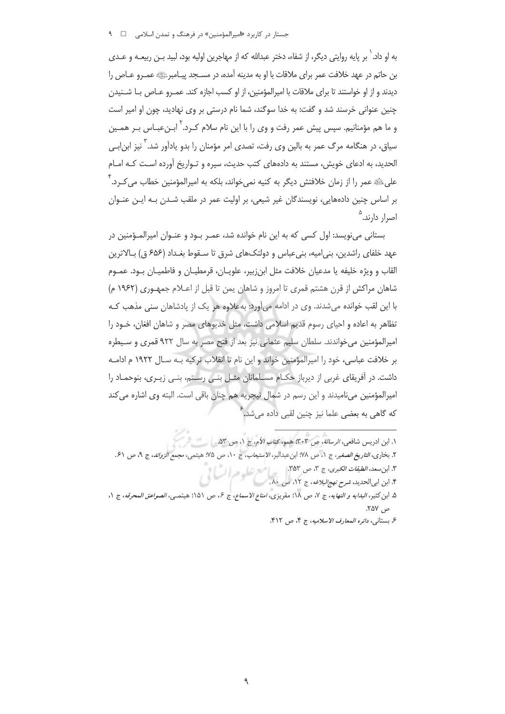### جستار در کاربرد «امیرالمؤمنین» در فرهنگ و تمدن اسلامی □ ۹

به او داد. ` بر پایه روایتی دیگر، از شفاء، دختر عبدالله که از مهاجرین اولیه بود، لبید بــن ربیعــه و عــدی بن حاتم در عهد خلافت عمر براي ملاقات با او به مدينه آمده، در مســجد پيــامبرﷺ عمـرو عــاص را ديدند و از او خواستند تا براي ملاقات با اميرالمؤمنين، از او كسب اجازه كند. عمـرو عـاص بــا شــنيدن چنین عنوانی خرسند شد و گفت: به خدا سوگند، شما نام درستی بر وی نهادید، چون او امیر است و ما هم مؤمنانیم. سپس پیش عمر رفت و وی را با این نام سلام کـرد.<sup>۲</sup> ابـنعبـاس بـر همـین سیاق، در هنگامه مرگ عمر به بالین وی رفت، تصدی امر مؤمنان را بدو یادآور شد. <sup>۳</sup> نیز ابن|بــی الحدید، به ادعای خویش، مستند به دادههای کتب حدیث، سیره و تواریخ آورده است کـه امـام علی ﷺ عمر را از زمان خلافتش دیگر به کنیه نمی خواند، بلکه به امپرالمؤمنین خطاب می *ک*ـرد. <sup>۴</sup> بر اساس چنین دادههایی، نویسندگان غیر شیعی، بر اولیت عمر در ملقب شـدن بـه ایـن عنـوان اصرار دارند.<sup>۵</sup>

بستانی مینویسد: اول کسی که به این نام خوانده شد، عمـر بـود و عنـوان امیرالمـؤمنین در عهد خلفای راشدین، بنی|میه، بنیعباس و دولتکهای شرق تا سـقوط بغـداد (۶۵۶ ق) بـالاترین القاب و ويژه خليفه يا مدعيان خلافت مثل ابنiبير، علويـان، قرمطيـان و فاطميـان بـود. عمـوم شاهان مراكش از قرن هشتم قمرى تا امروز و شاهان يمن تا قبل از اعـلام جمهـورى (١٩۶٢ م) با این لقب خوانده می شدند. وی در ادامه می آورد: به علاوه هر یک از یادشاهان سنی مذهب کـه تظاهر به اعاده و احیای رسوم قدیم اسلامی داشت، مثل خدیوهای مصر و شاهان افغان، خـود را امپرالمؤمنین می خواندند. سلطان سلیم عثمانی نیز بعد از فتح مصر به سال ۹۲۲ قمری و سیطره بر خلافت عباسی، خود را امیرالمؤمنین خواند و این نام تا انقلاب ترکیه بـه سـال ۱۹۲۲ م ادامـه داشت. در آفریقای غربی از دیرباز حکام مسلمانان مثـل بنـی رسـتم، بنـی زیـری، بنوحمـاد را امپرالمؤمنین می نامیدند و این رسم در شمال نیجریه هم چنان باقی است. البته وی اشاره می کند ۔<br>که گاهی به بعضی علما نیز چنین لقبی داده می شد.

١. ابن ادريس شافعي، *الرسالة*، ص ٣٠٣؛ همو، *كتاب الأم*، ج ١، ص ۵٣.

- ٢. بخاري، *التاريخ الصغير*، ج ١، ص ١٧٠؛ ابن عبدالبر، *الاستيعاب*، ج ١٠، ص ٢٥؛ هيشمي، م*جمع الزوائد*، ج ٩، ص ٤١.
	- ٣. ابن سعد، *الطبقات الكبرى*، ج ٣، ص ٣۵٣.<br>۴. ابن ابى الحديد، *شرح نهج البلاغه*، ج ١٢، ص ٨٠.
- ۵. ابن كثير، *البدايه و النهايه*، ج ٧، ص ١٨؛ مقريزي، *امتاع الاسماع*، ج ۶، ص ٥١١؛ هيتمـى، *الصواعق المحرقه*، ج ١،  $\sim$  , ۲۵۷.
	- ع بستاني، دائره المعارف الاسلاميه، ج ۴، ص ۴۱۲.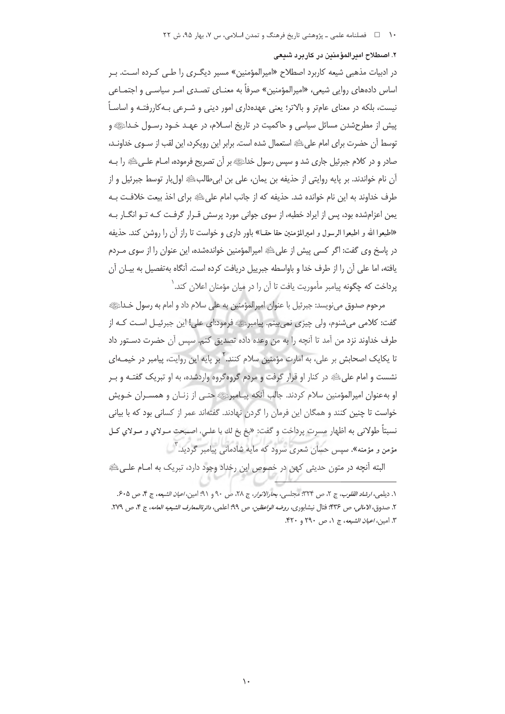٢. اصطلاح اميرالمؤمنين در كاربرد شيعى

در ادبیات مذهبی شیعه کاربرد اصطلاح «امیرالمؤمنین» مسیر دیگـری را طـی کـرده اسـت. بـر اساس دادههای روایی شیعی، «امیرالمؤمنین» صرفاً به معنـای تصـدی امـر سیاسـی و اجتمـاعی نیست، بلکه در معنای عامتر و بالاتر؛ یعنی عهدهداری امور دینی و شـرعی بـهکاررفتـه و اساسـاً پیش از مطرحشدن مسائل سیاسی و حاکمیت در تاریخ اسـلام، در عهـد خـود رسـول خـداﷺ و توسط آن حضرت براي امام على ﷺ استعمال شده است. برابر اين رويكرد، اين لقب از سـوى خداونـد، صادر و در كلام جبرئيل جاري شد و سپس رسول خداءًﷺ بر آن تصريح فرموده، امــام علــي ﷺ را بــه آن نام خواندند. بر پايه روايتي از حذيفه بن يمان، على بن ابيطالبﷺ اولبار توسط جبرئيل و از طرف خداوند به این نام خوانده شد. حذیفه که از جانب امام علی ﷺ برای اخذ بیعت خلافت بـه یمن اعزامشده بود، پس از ایراد خطبه، از سوی جوانی مورد پرسش قـرار گرفـت کـه تـو انگـار بـه «اطيعوا الله و اطيعوا الرسول و اميرالمؤمنين حقا حقــا» باور داري و خواست تا راز آن را روشن كند. حذيفه در پاسخ وی گفت: اگر کسی پیش از علیﷺ امیرالمؤمنین خواندهشده، این عنوان را از سوی مـردم يافته، اما على آن را از طرف خدا و باواسطه جبرييل دريافت كرده است. آنگاه بهتفصيل به بيـان آن يرداخت كه چگونه پيامبر مأموريت يافت تا آن را در ميان مؤمنان اعلان كند. `

مرحوم صدوق مي نويسد: جبرئيل با عنوان اميرالمؤمنين به على سلام داد و امام به رسول خـدائله » گفت: کلامی می شنوم، ولی چیزی نمی بینم. پیامبرﷺ فرمود:ای علی! این جبرئیـل اسـت کـه از طرف خداوند نزد من آمد تا آنچه را به من وعده داده تصدیق کنم. سپس آن حضرت دسـتور داد تا یکایک اصحابش بر علی، به امارت مؤمنین سلام کنند.<sup>۲</sup> بر پایه این روایت، پیامبر در خیمـهای نشست و امام علی ﷺ در کنار او قرار گرفت و مردم گروهگروه واردشده، به او تبریک گفتـه و بـر او به عنوان امیرالمؤمنین سلام کردند. جالب آنکه پیـامبرﷺ حتـی از زنـان و همسـران خـویش خواست تا چنین کنند و همگان این فرمان را گردن نهادند. گفتهاند عمر از کسانی بود که با بیانی نسبتاً طولاني به اظهار مسرت پرداخت و گفت: «بخ بخ لك يا علـي، اصـبحت مـولاي و مـولاي كـل مؤمن و مؤمنه». سپس حسان شعری سرود که مایه شادمانی پیامبر گردید. آ

البته آنچه در متون حدیثی کهن در خصوص این رخداد وجود دارد، تبریک به امــام علــیﷺ

١. ديلمي، ارشاد القلوب، ج ٢، ص ٣٢٣: مجلسي، بحارالانوار، ج ٢٨، ص ٩٠ و ٩١: امين، ا*عيان الشيعه*، ج ۴، ص ۶٠۵. ٢. صدوق، الامالي، ص ٣٣۶؛ فتال نيشابوري، ر*وضه الواعظين*، ص ٩٩؛ اعلمي، *دائرةالمعارف الشيعيه العامه*، ج ۴، ص ٢٧٩. ٣. امين*، اعيان الشيعه*، ج ١، ص ٢٩٠ و ٣٢٠.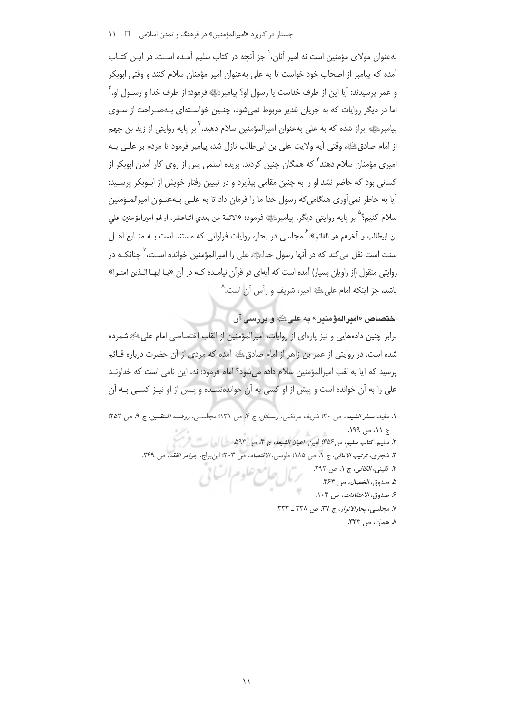جستار در کاربرد «امیرالمؤمنین» در فرهنگ و تمدن اسلامی مسلسل ا

بهعنوان مولای مؤمنین است نه امیر آنان، ٰ جز آنچه در کتاب سلیم آمـده اسـت. در ایـن کتـاب آمده که پیامبر از اصحاب خود خواست تا به علی بهعنوان امیر مؤمنان سلام کنند و وقتی ابوبکر و عمر پرسیدند: آیا این از طرف خداست یا رسول او؟ پیامبرﷺ فرمود: از طرف خدا و رسـول او. ` اما در دیگر روایات که به جریان غدیر مربوط نمی شود، چنـین خواسـتهای بـهصـراحت از سـوی پیامبرﷺ ابراز شده که به علی بهعنوان امیرالمؤمنین سلام دهید. <sup>۳</sup> بر پایه روایتی از زید بن جهم از امام صادقﷺ، وقتى أيه ولايت على بن ابي طالب نازل شد، پيامبر فرمود تا مردم بر علـي بـه امیری مؤمنان سلام دهند<sup>۴</sup> که همگان چنین کردند. بریده اسلمی پس از روی کار آمدن ابوبکر از کسانی بود که حاضر نشد او را به چنین مقامی بیذیرد و در تبیین رفتار خویش از ابـوبکر پرسـید: آیا به خاطر نمی آوری هنگامی که رسول خدا ما را فرمان داد تا به علـی پـهعنـوان امپرالمـؤمنین سلام كنيم؟<sup>٥</sup> بر پايه روايتي ديگر، پيامبرﷺ فرمود: «الائمة من بعدي اثناعشر، اولهم اميرالمؤمنين على بن ابیطالب و آخرهم هو القائم».<sup>۶</sup> مجلسی در بحار، روایات فراوانی که مستند است بـه منــابع اهــل سنت است نقل می *ک*ند که در آنها رسول خداﷺ علی را امیرالمؤمنین خوانده اسـت، <sup>۷</sup> چنانکـه در روايتي منقول (از راويان بسيار) آمده است كه آيهاي در قرآن نيامـده كـه در آن «يـا ايهـا الـذين آمنـوا» باشد، جز اینکه امام علیﷺ امیر، شریف و رأس آن است.^

ا**خت**صاص «ام**یرالمؤمنین» به علیﷺ و بررسی آن** 

برابر چنین دادههایی و نیز پارهای از روایات، امیرالمؤمنین از القاب اختصاصی امام علیﷺ شمرده شده است. در روایتی از عمر بن زاهر از امام صادق ﷺ آمده که مردی از آن حضرت درباره قــائم پرسید که آیا به لقب امیرالمؤمنین سلام داده می شود؟ امام فرمود: نه، این نامی است که خداونـد علی را به آن خوانده است و پیش از او کسی به آن خواندهنشده و پـس از او نیـز کسـی بـه آن

- ٢. سليم، كت*اب سليم*، س35°: امين، *اعيان الشيعه*، ج ۴، ص ٥٩٣.
- ٣. شجري، ترتيب الامالي، ج ١، ص ١٨٥؛ طوسي، الاقتصاد، ص ٢٠٣؛ ابن براج، جواهر الفقه، ص ٢۴٩.
	- ۴. کلینی، *الکافی،* ج ۱، ص ۲۹۲.
		- ۵. صدوق، *الخصال*، ص ۴۶۴.
	- ع صدوق، *الاعتقادات*، ص<sup>4</sup>۰۴.
	- ٧. مجلسي، بحار الانوار، ج ٣٧، ص ٣٣٨ \_ ٣٣٣.

٨. همان، ص ٣٣٣.

١. مفيد، مس*ار الشيعه*، ص ٢٠؛ شريف مرتضى، *رسائل*، ج ۴، ص ١٣١؛ مجلسـي، *روضــه المتقـين*، ج ٩، ص ٢٥٢؛ ج ١١، ص ١٩٩.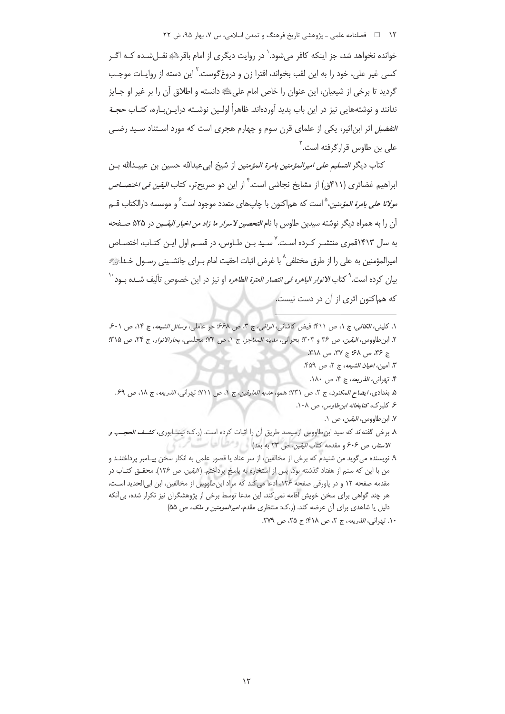۱۲ فصلنامه علمی ـ پژوهشی تاریخ فرهنگ و تمدن اسلامی، س ۷، بهار ۹۵، ش ۲۲

خوانده نخواهد شد، جز اینکه کافر می شود. ٰ در روایت دیگری از امام باقرﷺ نقـل شـده کـه اگـر کسی غیر علی، خود را به این لقب بخواند، افترا زن و دروغ\$وست.<sup>۲</sup> این دسته از روایـات موجـب گرديد تا برخي از شيعيان، اين عنوان را خاص امام على ﷺ دانسته و اطلاق آن را بر غير او جـايز ندانند و نوشتههایی نیز در این باب پدید آوردهاند. ظاهراً اولـین نوشـته درایـن بـاره، کتـاب حجــة *التفضیل* اثر ابن|ثیر، یکی از علمای قرن سوم و چهارم هجری است که مورد اسـتناد سـید رضــ , علی بن طاوس قرارگرفته است.<sup>۳</sup>

كتاب ديگر *التسليم على اميرالمؤمنين بامرة المؤمنين* از شيخ ابي عبدالله حسين بن عبيــدالله بــن ابراهیم غضائری (۴۱۱ق) از مشایخ نجاشی است. <sup>۲</sup>از این دو صریح *ت*ر، کتاب *البقین فی اختصــاص مولانا على بامرة المؤمنين*، <sup>0</sup>است كه هم|كنون با چاپهاى متعدد موجود است ً و موسسه دارالكتاب قــم آن را به همراه دیگر نوشته سیدبن طاوس با نام *التحصین لاسرار ما زاد من اخبار الیقـین* در ۵۲۵ صـفحه به سال ۱۴۱۳قمری منتشـر کـرده اسـت<sup>.۷</sup> سـید بـن طـاوس، در قسـم اول ایـن کتـاب، اختصـاص امیرالمؤمنین به علی را از طرق مختلفی^با غرض اثبات احقیت امام بـرای جانشـینی رسـول خـداﷺ بیان کرده است.<sup>۹</sup> کتاب *الانوار الباهره فی انتصار العترة الطاهره* او نیز در این خصوص تألیف شــده بــود<sup>۱۰</sup> که هماکنون اثری از آن در دست نیست.

- ع كلبرك، *كتابخانه ابن طاوس،* ص ١٠٨.
	- ٧. ابن طاووس، *اليقين*، ص ١.
- ٨. برخی گفتهاند که سید ابن طاووس ازسیصد طریق آن را اثبات کرده است. (ر.ک: نیشـابوری، *کشـف الحجـب و* الاستار، ص ۶۰۶ و مقدمه کتاب *الیقین*، ص ۲۳ به بعد) مستقبل است. است
- ۹. نویسنده می گوید من شنیدم که برخی از مخالفین، از سر عناد یا قصور علمی به انکار سخن پیـامبر پرداختنـد و من با این که سنم از هفتاد گذشته بود، پس از استخاره به پاسخ پرداختم. (*الیقین، ص* ۱۲۶). محقـق کتـاب در مقدمه صفحه ١٢ و در پاورقی صفحه ١٢۶، ادعا می کند که مراد ابن طاووس از مخالفین، ابن ابی الحدید است، هر چند گواهی برای سخن خویش اقامه نمی کند. این مدعا توسط برخی از پژوهشگران نیز تکرار شده، بی آنکه دلیل یا شاهدی برای آن عرضه کند. (ر.ک: منتظری مقدم، *امیرالمومنین و ملک، ص* ۵۵)
	- ۰۱. تهران*ی، الذریعه*، ج ۲، ص ۴۱۸؛ ج ۲۵، ص ۲۷۹.

١. كليني، *الكافي*، ج ١، ص ٤١١؛ فيض كاشاني، *الوافي*، ج ٣، ص ۶۶۸؛ حر عاملي، *وسائل الشيعه*، ج ١۴، ص ۶٠١. ٢. ابن طاووس، اليقين، ص ٣۶ و ٣٠٣؛ بحراني، *مدينه المعاجز*، ج ١، ص ٧٢؛ مجلسي، بح*ارالانوار*، ج ٢۴، ص ٣١٥؛ ج ۳۶، ص ۶۸؛ ج ۳۷، ص ۲۱۸.

٣. امين، ا*عيان الشيعه*، ج ٢، ص ٤٥٩.

۴. تهراني، *الذريعه*، ج ۴، ص ۱۸۰.

۵. بغدادي، *ايضاح المكنون*، ج ٢، ص ٣١٦؛ همو، هديه *العارفين، ج ١، ص ٢١١*؛ تهراني، *الذريعه*، ج ١٨، ص ۶۹.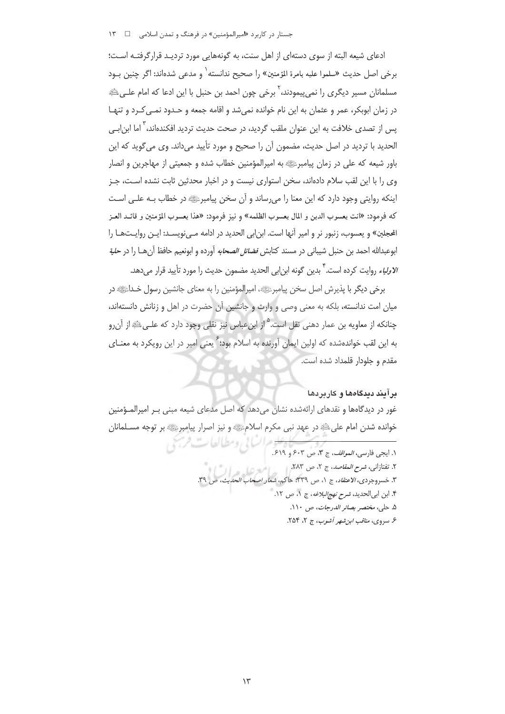جستار در کاربرد «امیرالمؤمنین» در فرهنگ و تمدن اسلامی ه ه ۱۳

ادعای شیعه البته از سوی دستهای از اهل سنت، به گونههایی مورد تردیـد قرارگرفتـه اسـت؛ برخي اصل حديث «سلموا عليه بامرة المؤمنين» ,ا صحيح ندانسته` و مدعي شدهاند: اگر چنين بـود مسلمانان مسیر دیگری را نمی،پیمودند، <sup>۲</sup> برخی چون احمد بن حنبل با این ادعا که امام علـی،ﷺ در زمان ابوبکر، عمر و عثمان به این نام خوانده نمی شد و اقامه جمعه و حـدود نمـی کـرد و تنهـا یس از تصدی خلافت به این عنوان ملقب گردید، در صحت حدیث تردید افکندهاند، <sup>۲</sup> اما ابن|ب*ے،* الحديد با ترديد در اصل حديث، مضمون آن را صحيح و مورد تأييد مي داند. وي مي گويد كه اين باور شیعه که علی در زمان پیامبرﷺ به امپرالمؤمنین خطاب شده و جمعیتی از مهاجرین و انصار وی را با این لقب سلام دادهاند، سخن استواری نیست و در اخبار محدثین ثابت نشده است، جـز اینکه روایتی وجود دارد که این معنا را می رساند و آن سخن پیامبرﷺ در خطاب بـه علـی اسـت كه فرمود: «انت يعسوب الدين و المال يعسوب الظلمه» و نيز فرمود: «هذا يعسوب المؤمنين و قائــد العــز الحجلين» و يعسوب، زنبور نر و امير أنها است. ابن|بي الحديد در ادامه مـيiويسـد: ايــن روايــتـهــا را ابوعبدالله احمد بن حنبل شيباني در مسند كتابش *فضائل الصحابه* آورده و ابونعيم حافظ آنهـــا را در *حلية الاولياء* روايت كرده است. <sup>٢</sup> بدين گونه ابن|بي الحديد مضمون حديث را مورد تأييد قرار ميدهد.

برخی دیگر با پذیرش اصل سخن پیامبرﷺ، امپرالمؤمنین را به معنای جانشین رسول خـداﷺ در میان امت ندانسته، بلکه به معنی وصی و وارث و جانشین آن حضرت در اهل و زنانش دانستهاند، چنانکه از معاویه بن عمار دهنی نقل است.<sup>۵</sup> از ابنِعباس نیز نقلی وجود دارد که علـیﷺ از آن٫رو به این لقب خواندهشده که اولین ایمان آورنده به اسلام بود؛ ٌ یعنی امیر در این رویکرد به مع*ن*ـای مقدم و جلودار قلمداد شده است.

## برآیند دیدگاهها و کاربردها

غور در دیدگاهها و نقدهای ارائهشده نشان میدهد که اصل مدعای شیعه مبنی بـر امیرالمـؤمنین خوانده شدن امام علي ﷺ در عهد نبي مكرم اسلامﷺ و نيز اصرار پيامبرﷺ بر توجه مسـلمانان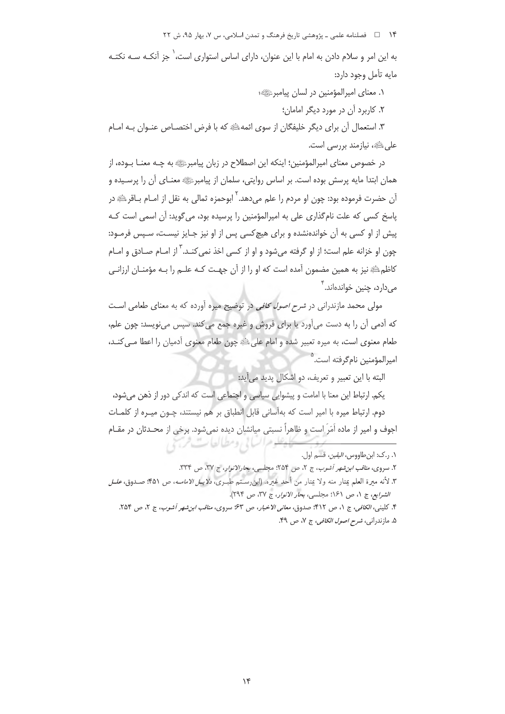۱۴ فصلنامه علمی ـ پژوهشی تاریخ فرهنگ و تمدن اسلامی، س ۷، بهار ۹۵، ش ۲۲

به این امر و سلام دادن به امام با این عنوان، دارای اساس استواری است، ٰ جز آنکـه سـه نکتـه مايه تأمل وجود دارد:

٠. معناى اميرالمؤمنين در لسان پيامبر عليه؛

٢. كاربرد آن در مورد ديگر امامان؛

٣. استعمال أن براي ديگر خليفگان از سوي ائمهﷺ كه با فرض اختصــاص عنـوان بــه امــام علے ﷺ، نیازمند بررسے است.

در خصوص معنای امپرالمؤمنین؛ اینکه این اصطلاح در زبان پیامبرﷺ به چـه معنـا بـوده، از همان ابتدا مایه پرسش بوده است. بر اساس روایتی، سلمان از پیامبرﷺ معنـای آن را پرسـیده و آن حضرت فرموده بود: چون او مردم را علم میدهد.<sup>۲</sup> ابوحمزه ثمالی به نقل از امـام بــاقرﷺ در یاسخ کسی که علت نام گذاری علی به امیرالمؤمنین را پرسیده بود، می گوید: آن اسمی است کـه پیش از او کسی به آن خواندهنشده و برای هیچکسی پس از او نیز جـایز نیسـت، سـپس فرمـود: چون او خزانه علم است؛ از او گرفته می شود و او از کسی اخذ نمی *کنـد*. <sup>۲</sup> از امـام صـادق و امـام كاظم ﷺ نيز به همين مضمون آمده است كه او را از آن جهت كـه علـم را بـه مؤمنـان ارزانـي مے دارد، چنین خواندہاند. ؑ

مولی محمد مازندرانی در *شرح اصول کافی* در توضیح میره آورده که به معنای طعامی است که آدمی آن را به دست می آورد یا برای فروش و غیره جمع می کند. سپس می نویسد: چون علم، طعام معنوى است، به ميره تعبير شده و امام على ﷺ چون طعام معنوى آدميان را اعطا مـى كنـد، اميرالمؤمنين نام گرفته است.<sup>۵</sup>

البته با این تعبیر و تعریف، دو اشکال پدید می آید:

یکم. ارتباط این معنا با امامت و پیشوایی سیاسی و اجتماعی است که اندکی دور از ذهن می شود، دوم. ارتباط میره با امیر است که بهآسانی قابل انطباق بر هم نیستند، چــون میــره از کلمــات اجوف و امیر از ماده اَمَرَ است و ظاهراً نسبتی میانشان دیده نمیشود. برخی از محـدثان در مقــام لوهرانساني ومطالعات مردي

٠. ر.ک: ابن طاووس، *اليقين*، قسم اول.

٢. سروى، مناقب ابن شهر آشوب، ج ٢، ص ٢٥۴؛ مجلسى، بحارالانوار، ج ٣٧، ص ٣٣٣.

٣. لأنه ميرة العلم يمتار منه ولا يمتار من أحد غيره. (ابن رسـتم طبـري، دلايـل/لا*مامـه*، ص ٤٥١: صـدوق، *علـل* الشرايع، ج ١، ص ١۶١؛ مجلسي، بحار الانوار، ج ٣٧، ص ٢٩٤).

۴. كليني، *الكافي*، ج ١، ص ۴۱۲: صدوق، *معاني الاخبار*، ص ۶۳: سروى، *مناقب ابن شهر آشوب*، ج ٢، ص ٢۵۴. ۵. مازندراني، *شرح اصول الكافي*، ج ۷، ص ۴۹.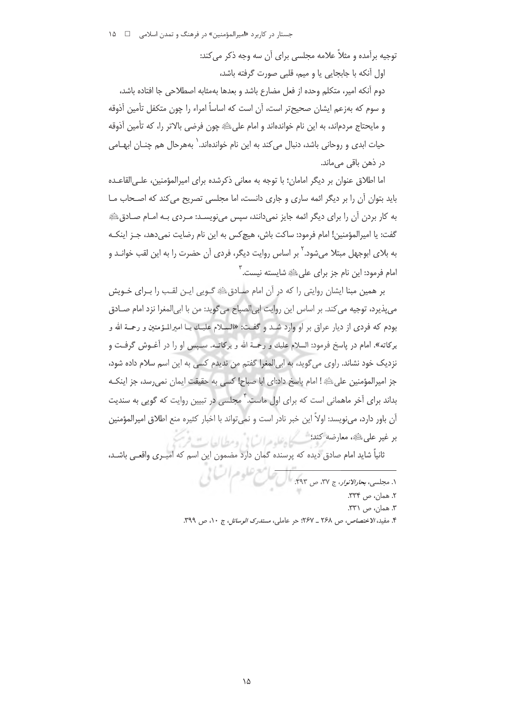جستار در کاربرد «امیرالمؤمنین» در فرهنگ و تمدن اسلامی ه ه ۱۵

توجیه برآمده و مثلاً علامه مجلسی برای آن سه وجه ذکر می کند:

اول آنکه با جابجایی یا و میم، قلبی صورت گرفته باشد،

دوم آنكه امير، متكلم وحده از فعل مضارع باشد و بعدها بهمثابه اصطلاحي جا افتاده باشد، و سوم که بهزعم ایشان صحیحتر است، آن است که اساساً امراء را چون متکفل تأمین آذوقه و مايحتاج مردم|ند، به اين نام خوانده|ند و امام على ﷺ چون فرضي بالاتر را، كه تأمين آذوقه حیات ایدی و روحانی باشد، دنبال می کند به این نام خواندهاند.` بههرحال هم چنــان ابهــامی در ذهن باقی مے ماند.

اما اطلاق عنوان بر دیگر امامان؛ با توجه به معانی ذکرشده برای امیرالمؤمنین، علـی|لقاعـده باید بتوان آن را بر دیگر ائمه ساری و جاری دانست، اما مجلسی تصریح می کند که اصحاب مـا به کار بردن آن را برای دیگر ائمه جایز نمیدانند، سپس مینویسـد: مـردی بـه امـام صـادقﷺ گفت: يا اميرالمؤمنين! امام فرمود: ساكت باش، هيچ كس به اين نام رضايت نمي دهد، جـز اينكـه به بلای ابوجهل مبتلا میشود.' بر اساس روایت دیگر، فردی آن حضرت را به این لقب خوانـد و امام فرمود: این نام جز برای علیﷺ شایسته نیست. <sup>۳</sup>

بر همین مبنا ایشان روایتی را که در آن امام صـادقﷺ گـویی ایـن لقـب را بـرای خـویش می پذیرد، توجیه می کند. بر اساس این روایت ابی الصباح می گوید: من با ابی المغرا نزد امام صـادق بودم كه فردى از ديار عراق بر او وارد شـد و گفـت: «السـلام عليـك يــا اميرالمـؤمنين و رحمـة الله و بركاته». امام در پاسخ فرمود: السلام عليك و رحمـة الله و بركاتــه. سـپس او را در أغــوش گرفــت و نزدیک خود نشاند. راوی میگوید، به ابیالمغرا گفتم من ندیدم کسی به این اسم سلام داده شود، جز اميرالمؤمنين علىﷺ! امام پاسخ داد:اي ابا صباح! كسى به حقيقت ايمان نمىرسد، جز اينكـه بداند برای آخر ماهمانی است که برای اول ماست. ۖ مجلسی در تبیین روایت که گویی به سندیت آن باور دارد، می نویسد: اولاً این خبر نادر است و نمی تواند با اخبار کثیره منع اطلاق امیرالمؤمنین بر غير على يقدِّ، معارضه كند؛ يستسيح بإعليه مرات! في ومطالعات

ثانياً شايد امام صادق ديده كه پرسنده گمان دارد مضمون اين اسم كه اميـرى واقعـى باشـد،

۱. مجلسی، بع*ادالانون ج ۳۷، ص ۴۹۳. مال تعلیم علوم السا*لی ٢. همان، ص ٣٣٣. ٣. همان، ص ٣٣١. ۴. مفید، *الاختصاص، ص ۲۶*۸ ــ ۲۶۷؛ حر عاملی، *مستدرک الوسائل*، ج ۱۰، ص ۳۹۹.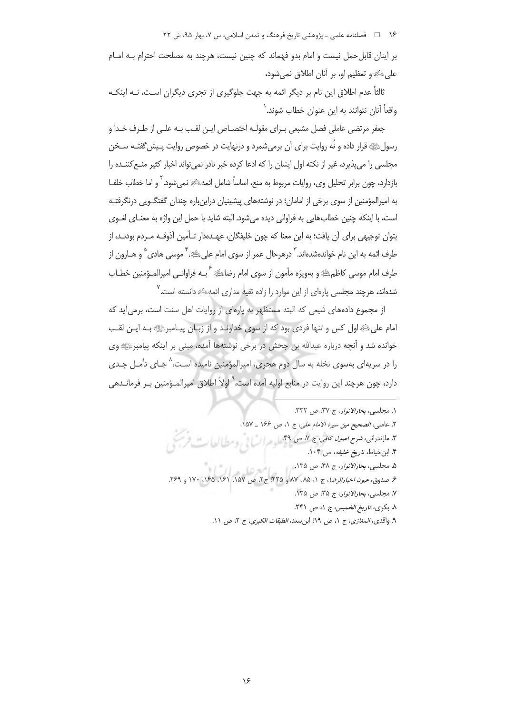۱۶ = فصلنامه علمی ـ پژوهشی تاریخ فرهنگ و تمدن اسلامی، س ۷، بهار ۹۵، ش ۲۲

بر اینان قابل حمل نیست و امام بدو فهماند که چنین نیست، هرچند به مصلحت احترام بـه امـام على ﷺ و تعظيم او، بر أنان اطلاق نمي شود،

ثالثاً عدم اطلاق این نام بر دیگر ائمه به جهت جلوگیری از تجری دیگران است، نــه اینکــه واقعاً آنان نتوانند به این عنوان خطاب شوند.`

جعفر مرتضى عاملي فصل مشبعي بـراي مقولـه اختصــاص ايـن لقـب بـه علـى از طـرف خـدا و رسولﷺ قرار داده و نُه روايت براي آن برمي شمرد و درنهايت در خصوص روايت پـيش گفتـه سـخن مجلسی را می پذیرد، غیر از نکته اول ایشان را که ادعا کرده خبر نادر نمی تواند اخبار کثیر منـع کننــده را بازدارد، چون برابر تحلیل وی، روایات مربوط به منع، اساساً شامل ائمه ﷺ نمی شود. `و اما خطاب خلفـا به امیرالمؤمنین از سوی برخی از امامان؛ در نوشتههای پیشینیان دراینباره چندان گفتگـویی درنگرفتـه است، با اینکه چنین خطابهایی به فراوانی دیده می شود. البته شاید با حمل این واژه به معنـای لغـوی بتوان توجیهی برای آن یافت؛ به این معنا که چون خلیفگان، عهـدهدار تـأمین آذوقـه مـردم بودنـد، از طرف ائمه به این نام خواندهشدهاند. <sup>۳</sup> درهرحال عمر از سوی امام علیﷺ، <sup>۴</sup> موسی هادی <sup>۵</sup> و هــارون از طرف امام موسى كاظمﷺ و بەويژە مأمون از سوى امام رضاﷺ <sup>ع</sup>بــه فراوانــ<sub>ى</sub> اميرالمــؤمنين خطــاب .<br>شدهاند، هرچند مجلسی پارهای از این موارد را زاده تقیه مداری ائمه اِعْ دانسته است.

از مجموع دادههای شیعی که البته مستظهر به یارهای از روایات اهل سنت است، برمی آید که امام على اللهِ اول كس و تنها فردي بود كه از سوى خداونـد و از زبـان پيـامبرئي بـه ايـن لقـب خوانده شد و آنچه درباره عبدالله بن جحش در برخی نوشتهها آمده، مبنی بر اینکه پیامبرﷺ وی را در سریهای بهسوی نخله به سال دوم هجری، امیرالمؤمنین نامیده است، ^ جـای تأمـل جـدی دارد، چون هرچند این روایت در منابع اولیه آمده است،<sup>۹</sup> اولاً اطلاق امیرالمـؤمنین بـر فرمانـدهی

١. مجلسي، بحارالانوار، ج ٣٧، ص ٣٣٢. ٢. عاملي، *الصحيح مين سيرة الامام على*، ج ١، ص ١۶۶ ـ ١۵٧. ۳. مازندران*ی، شرح اصول کافی،* ج ۷، ص ۴۹. ۴. این خیاط، تاریخ خلیفه، ص ۱۰۴. ۵. مجلسي، *بحارالانوار*، ج ۴۸، ص ۱۳۵. ۶<br>۶ صدوق، *عیون اخبارالرضا*، ج ۱، ۸۵، ۸۷ و ۲۲۵: ج۲، ص ۱۵۷، ۱۶۱، ۱۶۵، ۱۶۷، ۱۷۰ و ۲۶۹. ٧. مجلسي، بحارالانوار، ج ٣۵، ص ١٣۵. ٨. بكرى، تاريخ الخميس، ج ١، ص ٢۴١.

٩. واقدى، *المغازى*، ج ١، ص ١٩؛ ابنِ سعد، *الطبقات الكبرى*، ج ٢، ص ١١.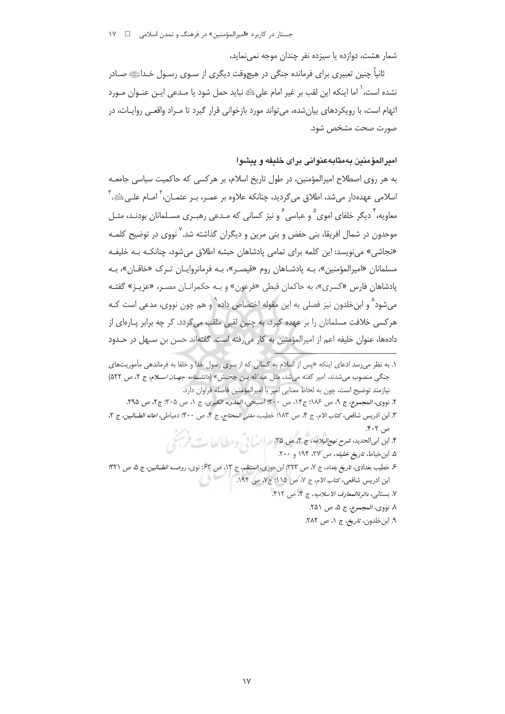جستار در کاربرد «امیرالمؤمنین» در فرهنگ و تمدن اسلامی د د ۱۷۰

شمار هشت، دوازده یا سیزده نفر چندان موجه نمی نماید،

ثانیاً چنین تعبیری برای فرمانده جنگی در هیچوقت دیگری از سـوی رسـول خـداﷺ صـادر نشده است، ٰ اما اینکه این لقب بر غیر امام علیﷺ نباید حمل شود یا مـدعی ایـن عنـوان مـورد اتهام است، با رویکردهای بیان شده، می تواند مورد بازخوانی قرار گیرد تا مـراد واقعـی روایـات، در صورت صحت مشخص شود.

# اميرالمؤمنين بهمثابهعنواني براى خليفه و پيشوا

به هر روی اصطلاح امیرالمؤمنین، در طول تاریخ اسلام، بر هرکسی که حاکمیت سیاسی جامعـه اسلامي عهدهدار مي شد، اطلاق مي گرديد، چنانكه علاوه بر عمـر، بـر عثمـان، ` امـام علـي ﷺ، `` معاویه، ٌ دیگر خلفای اموی <sup>۵</sup> و عباسی ً و نیز کسانی که مـدعی رهبـری مسـلمانان بودنـد، مثـل موحدون در شمال افریقا، بنی حفض و بنی مرین و دیگران گذاشته شد.<sup>۷</sup> نووی در توضیح کلمـه «نجاشی» می نویسد: این کلمه برای تمامی یادشاهان حبشه اطلاق می شود، چنانکـه بـه خلیفـه مسلمانان «اميرالمؤمنين»، بـه يادشـاهان روم «قيصـر»، بـه فرمانروايـان تـرک «خاقـان»، بـه پادشاهان فارس «کسری»، به حاکمان قبطی «فرعون» و بـه حکمرانـان مصـر، «عزیـز» گفتـه میشود^ و ابنخلدون نیز فصلی به این مقوله اختصاص داده`ْ و هم چون نووی، مدعی است کـه هرکسی خلافت مسلمانان را بر عهده گیرد، به چنین لقبی ملقب می گردد. گر چه برابر پــارهای از دادهها، عنوان خليفه اعم از اميرالمؤمنين به كار مي رفته است. گفتهاند حسن بن سـهل در حـدود

- ۵. ابن خیاط، تاریخ خلیفه، ص ۲۷، ۱۹۴ و ۲۰۰.
- ۶. خطيب بغدادي، تاريخ *بغداد*، ج ٧، ص ٢٢٣؛ ابن جوزي، *المنتظم*، ج ١٣، ص ٤٣: نوي، *روضــه الطــالين*، ج ۵، ص ٣٢١؛ ابن ادريس شافعي، كت*اب الام، ج ٧، ص ١١٥*؛ ج٧، ص ١٩۴.
	- ٧. بستاني، دائرةالمعارف الاسلاميه، ج ۴، ص ۴۱۲.
		- ٨. نووي، *المجموع*، ج ۵، ص ٢۵١.
		- ۹. ابن خلدون، *تاريخ*، ج ۱، ص ۲۸۲.

۱. به نظر می رسد ادعای اینکه «پس از اسلام به کسانی که از سوی رسول خدا و خلفا به فرماندهی مأموریتهای جنگی منصوب می شدند، امیر گفته می شد، مثل عبدالله بـن جحـش» (د*انشـنامه جهـان اسـلام*، ج ٢، ص ٥٢٢) نيازمند توضيح است، چون به لحاظ معنايي امير با اميرالمؤمنين فاصله فراوان دارد.

٢. نووي، المجموع، ج ٩، ص ١١٤: ج١٢، ص ٣٠٠. اصبحي، المدونه الكبرى، ج ١، ص ٣٠۵: ج٢، ص ٢٩۵. ٣. ابن ادريس شافعي، كتاب الام، ج ۴، ص ١٨٣؛ خطيب، *مغني المحتاج*، ج ۴، ص ٤٠٠: دمياطي، *اعانه الطــالبين*، ج ٢، ص ۴۰۲.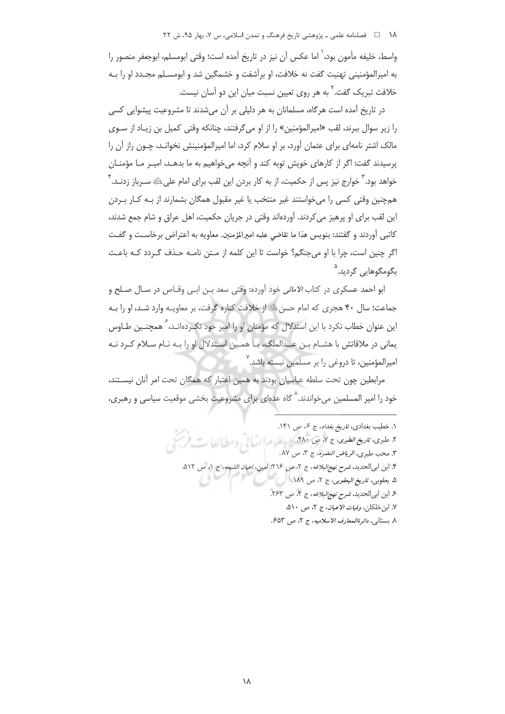# 

واسط، خلیفه مأمون بود،<sup>\</sup> اما عکس آن نیز در تاریخ آمده است؛ وقتی ابومسلم، ابوجعفر منصور را به امیرالمؤمنینی تهنیت گفت نه خلافت، او برآشفت و خشمگین شد و ابومسـلم مجـدد او را بـه خلافت تبریک گفت.<sup>۲</sup> به هر روی تعیین نسبت میان این دو آسان نیست.

در تاریخ آمده است هرگاه، مسلمانان به هر دلیلی بر آن می شدند تا مشروعیت پیشوایی کسی را زير سوال ببرند، لقب «اميرالمؤمنين» را از او مي گرفتند، چنانكه وقتي كميل بن زيـاد از سـوي مالک اشتر نامهای برای عثمان آورد، بر او سلام کرد، اما امیرالمؤمنینش نخوانـد، چـون راز آن را پرسیدند گفت: اگر از کارهای خویش توبه کند و آنچه می خواهیم به ما بدهـد، امیـر مـا مؤمنـان خواهد بود.<sup>۳</sup> خوارج نیز پس از حکمیت، از به کار بردن این لقب برای امام علیﷺ سـرباز زدنـد.<sup>۴</sup> همچنین وقتی کسی را می خواستند غیر منتخب یا غیر مقبول همگان بشمارند از پـه کـار پـردن این لقب برای او پرهیز می کردند. آوردهاند وقتی در جریان حکمیت، اهل عراق و شام جمع شدند، كاتبي أوردند و گفتند: بنويس هذا ما تقاضي عليه اميرالمؤمنين. معاويه به اعتراض برخاست و گفت اگر چنین است، چرا با او می جنگم؟ خواست تا این کلمه از مـتن نامـه حـذف گـردد کـه باعـث بگومگوهایی گردید.<sup>۵</sup>

ابو احمد عسکری در کتاب *الامالی* خود آورده: وقتی سعد بـن ابـی وقـاص در سـال صـلح و جماعت؛ سال ۴۰ هجری که امام حسن ﷺ از خلافت کناره گرفت، بر معاویـه وارد شـد، او را بـه این عنوان خطاب نکرد با این استدلال که مؤمنان او را امیر خود نک دهانـد، <sup>۶</sup> همچنـین طــاوس یمانی در ملاقاتش با هشـام بـن عبـدالملک، بـا همـین اسـتدلال او را بـه نـام سـلام کـرد نـه امیرالمؤمنین، تا دروغی را بر مسلمین نبسته باشد.٬

مرابطین چون تحت سلطه عباسیان بودند به همین اعتبار که همگان تحت امر آنان نیسـتند، خود را امیر المسلمین میخواندند.<sup>^</sup> گاه عدهای برای مشروعیت بخشی موقعیت سیاسی و رهبری**،** 

١. خطيب بغدادي، تاريخ بغداد، ج ۶، ص ١۴١. ۲. طبوی، ت*اریخ الطبوی*، ج ۷، ص ۴۸۰. کارهای در السال استعمال ک ٣. محب طبري، *الرياض النضره*، ج ٣، ص ٨٧. ۴. ابن ابی الحدید، *شرح نهج البلاغه*، ج ۲، ص ۲۱۶؛ امین، *اعیان الشیعه*، ج ۱، ص ۵۱۲. ۵. يعقوبي، *تاريخ اليعقوبي*، ج ٢، ص ١٨٩. ۶. ابن ابى الحديد، شرح نهج البلاغه، ج ٢، ص ٢۶٣. ٧. ابن خلكان، *وفيات الإعيان*، ج ٢، ص ٥١٠. ٨. بستاني، دائرةالمعارف الاسلاميه، ج ٢، ص ٤٥٣.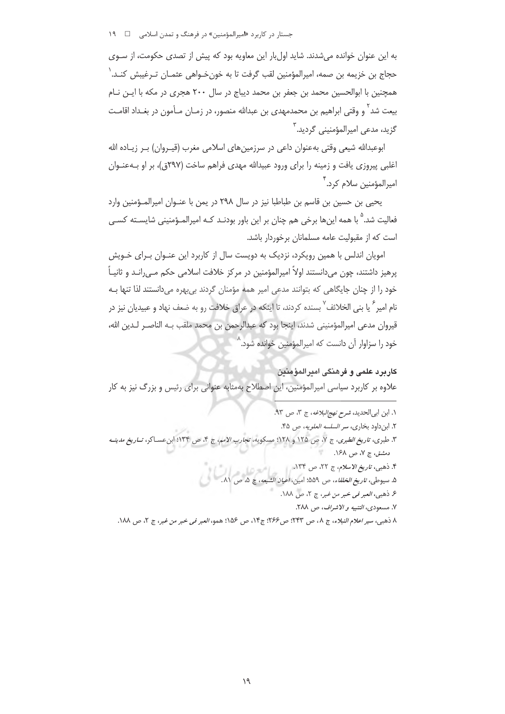جستار در کاربرد «امیرالمؤمنین» در فرهنگ و تمدن اسلامی ه ه ۱۹

به این عنوان خوانده می شدند. شاید اول بار این معاویه بود که پیش از تصدی حکومت، از سـوی حجاج بن خزیمه بن صمه، امیرالمؤمنین لقب گرفت تا به خونخواهی عثمـان تـرغیبش کنـد.<sup>\</sup> همچنین با ابوالحسین محمد بن جعفر بن محمد دیباج در سال ۲۰۰ هجری در مکه با ایـن نـام بیعت شد ً و وقتی ابراهیم بن محمدمهدی بن عبدالله منصور، در زمـان مـأمون در بغـداد اقامـت گزید، مدعی امپرالمؤمنینی گردید.<sup>۳</sup>

ابوعبدالله شیعی وقتی بهعنوان داعی در سرزمین های اسلامی مغرب (قیـروان) بـر زیـاده الله اغلبي پيروزي يافت و زمينه را براي ورود عبيدالله مهدي فراهم ساخت (٢٩٧ق)، بر او بــهعنــوان اميرالمؤمنين سلام كرد. ٌ

يحيى بن حسين بن قاسم بن طباطبا نيز در سال ٢٩٨ در يمن با عنـوان اميرالمـؤمنين وارد فعالیت شد.<sup>۵</sup> با همه اینها برخی هم چنان بر این باور بودنـد کـه امیرالمـؤمنینی شایسـته کسـ*ی* است که از مقبولیت عامه مسلمانان برخوردار باشد.

امویان اندلس با همین رویکرد، نزدیک به دویست سال از کاربرد این عنـوان بـرای خـویش پرهیز داشتند، چون میدانستند اولاً امیرالمؤمنین در مرکز خلافت اسلامی حکم مـیرانــد و ثانیــاً خود را از چنان جایگاهی که بتوانند مدعی امیر همه مؤمنان گردند بیبهره میدانستند لذا تنها بـه نام امیر ِ ٌ یا بنی الخلائف ِ ' بسنده کردند، تا اینکه در عراق خلافت رو به ضعف نهاد و عبیدیان نیز در قيروان مدعى اميرالمؤمنيني شدند، اينجا بود كه عبدالرحمن بن محمد ملقب بـه الناصـر لـدين الله، خود را سزاوار آن دانست که امیرالمؤمنین خوانده شود.^

كاربرد علمي و فرهنگي امبرالمؤمنين علاوه بر کاربرد سیاسی امیرالمؤمنین، این اصطلاح بهمثابه عنوانی برای رئیس و بزرگ نیز به کار

١. ابن ابى الحديد، شرح نهج البلاغه، ج ٣، ص ٩٣. ٢. ابن داود بخارى، سر السلسه العلويه، ص ۴۵. ٣. طبرى، ت*اريخ الطبرى*، ج ٧، ص ١٢٥ و ١٢٨؛ مسكويه، *تجارب الامم*، ج ۴، ص ١٣٣؛ ابنعسـاكر، *تــاريخ مدينــه* دمشتی، ج ۷، ص ۱۶۸. ۴. ذهبي، *تاريخ الاسلام*، ج ۲۲، ص ۱۳۴. ۲. دهبی، *تاریخ الاسلام*، ج ۲۲، ص ۱۲۳.<br>۵. سیوطی، *تاریخ الخلفاء، ص ۵*۵۹؛ امین، *اعیان الشیعه*، ج ۵*. ص ۸۱.* ۶ ذهبي، العبر في خبر من غبر، ج ٢، ص ١٨٨. ٧. مسعودي، التنبيه و الاشراف، ص ٢٨٨. ٨ ذهبي، سير اعلام النبلاء، ج ٨، ص ٢۴٣؛ ص ٢۶۶؛ ج١٢، ص ١۵۶؛ همو، العبر في خبر من غبر، ج ٢، ص ١٨٨.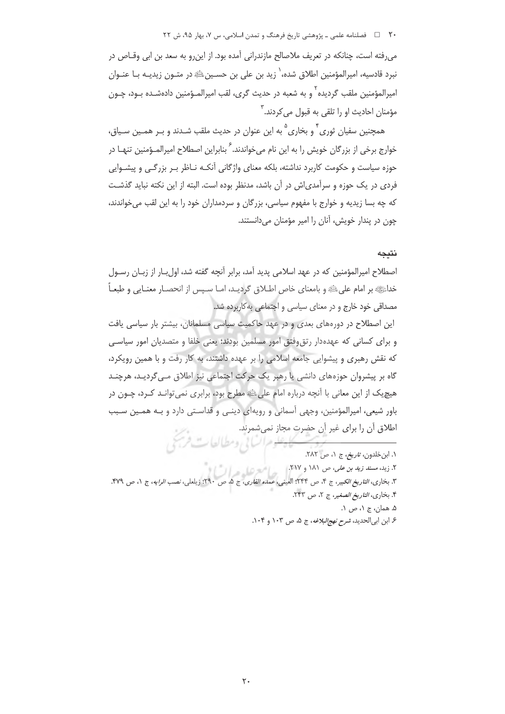#### ۲۰٪ ه اسلامي علمي ـ پژوهشي تاريخ فرهنگ و تمدن اسلامي، س ۷، بهار ۹۵، ش ۲۲

می رفته است، چنانکه در تعریف ملاصالح مازندرانی آمده بود. از این رو به سعد بن ابی وقــاص در نبرد قادسیه، امیرالمؤمنین اطلاق شده، ٰ زید بن علی بن حسـینﷺ در متـون زیدیـه بـا عنـوان امپرالمؤمنین ملقب گردیده <sup>۲</sup> و به شعبه در حدیث گری، لقب امپرالمـؤمنین دادهشـده بـود، چـون مؤمنان احادیث او را تلقی به قبول می کردند. ۳

همچنین سفیان ثوری ٔ و بخاری <sup>۵</sup> به این عنوان در حدیث ملقب شـدند و بـر همـین سـیاق، خوارج برخی از بزرگان خویش را به این نام می خواندند. ً بنابراین اصطلاح امیرالمـؤمنین تنهـا در حوزه سیاست و حکومت کاربرد نداشته، بلکه معنای واژگانی آنکـه نــاظر بـر بزرگــی و پیشــوایی فردی در یک حوزه و سرآمدی!ش در آن باشد، مدنظر بوده است. البته از این نکته نباید گذشـت که چه بسا زیدیه و خوارج با مفهوم سیاسی، بزرگان و سردمداران خود را به این لقب میخواندند، چون در پندار خویش، آنان را امیر مؤمنان می دانستند.

#### نتىجە

اصطلاح امیرالمؤمنین که در عهد اسلامی پدید آمد، برابر آنچه گفته شد، اول بار از زبـان رسـول خداﷺ بر امام عليﷺ و بامعناي خاص اطــلاق گراديــد، امــا ســپس از انحصــار معنــايي و طبعــاً مصداقی خود خارج و در معنای سیاسی و اجتماعی به کاربرده شد.

این اصطلاح در دورههای بعدی و در عهد حاکمیت سیاسی مسلمانان، بیشتر بار سیاسی یافت و برای کسانی که عهدهدار رتق وفتق امور مسلمین بودند؛ یعنی خلفا و متصدیان امور سیاسی که نقش رهبری و پیشوایی جامعه اسلامی را بر عهده داشتند، به کار رفت و با همین رویکرد، گاه بر پیشروان حوزههای دانشی یا رهبر یک حرکت اجتماعی نیز اطلاق مـی گردیـد، هرچنـد هیچ یک از این معانی با اَنچه درباره امام علی ﷺ مطرح بود، برابری نمی توانـد کـرد، چـون در باور شیعی، امیرالمؤمنین، وجهی آسمانی و رویهای دینے و قداستی دارد و بـه همـین سـبب اطلاق آن را برای غیر آن حضرت مجاز نمی شمرند. كايلا والبالا ومطالعات مركب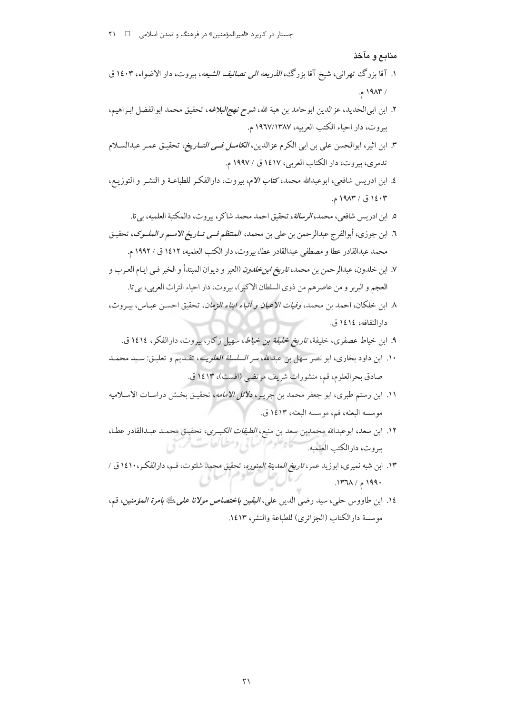منابع و مآخذ

- ۱. آقا بزرگ تهرانی، شیخ آقا بزرگ، *الذریعه الی تصانیف الشیعه*، بیروت، دار الاضواء، ۱٤۰۳ ق  $.919A$
- ٢. ابن ابي|لحديد، عزالدين ابوحامد بن هبة الله، *شرح نهج|لبلاغه*، تحقيق محمد ابوالفضل ابـراهيم، بيروت، دار احياء الكتب العربيه، ١٩٦٧/١٣٨٧ م.
- ٣. ابن اثير، ابوالحسن على بن ابي الكرم عزالدين، *الكامـل فـي التــاريخ*، تحقيـق عمـر عبدالسـلام تدمري، بيروت، دار الكتاب العربي، ١٤١٧ ق / ١٩٩٧ م.
- ٤. ابن ادريس شافعي، ابوعبدالله محمد، كتاب الام، بيروت، دارالفكر للطباعـة و النشـر و التوزيـع، ۱٤۰۳ ق / ۱۹۸۳ م.
	- ٥. ابن ادريس شافعي، محمد، *الرسالة*، تحقيق احمد محمد شاكر، بيروت، دالمكتبة العلميه، بي تا.
- ٦. ابن جوزي، أبوالفرج عبدالرحمن بن علي بن محمد، *المنتظم فــي تــاريخ الامــم و الملــوک*، تحقيـق محمد عبدالقادر عطا و مصطفى عبدالقادر عطا، بيروت، دار الكتب العلميه، ١٤١٢ ق / ١٩٩٢ م.
- ٧. ابن خلدون، عبدالرحمن بن محمد، *تاريخ ابن خلدون* (العبر و ديوان المبتدأ و الخبر فـي ايـام العـرب و العجم و البربر و من عاصرهم من ذوى السلطان الاكبر)، بيروت، دار احياء التراث العربي، بي تا.
- ٨. ابن خلكان، احمد بن محمد، *وفيات الاعيان و أنباء ابناء الزمان*، تحقيق احسـن عبـاس، بيـروت، دار الثقافه، ١٤١٤ ق.
	- ۹. ابن خیاط عصفری، خلیفة، *تاریخ خلیفة بن خیاط*، سهیل زکار، بیروت، دارالفکر، ۱٤۱٤ ق.
- ۱۰. ابن داود بخاري، ابو نصر سهل بن عبدالله، *سر السلسلة العلويــه*، تقـديم و تعليـق: سـيد محمـد صادق بحرالعلوم، قم، منشورات شريف مرتضى (افست)، ١٤١٣ ق.
- ١١. ابن رستم طبري، ابو جعفر محمد بن جريـر، دلائل الامامه، تحقيـق بخـش دراسـات الاسـلاميه موسسه البعثه، قم، موسسه البعثه، ١٤١٣ ق.
- ١٢. ابن سعد، ابوعبدالله محمدبن سعد بن منيع، *الطبقات الكبـرى*، تحقيـق محمـد عبـدالقادر عطـا، تتاه فلوم السائي ومطيالعات مردي بيروت، دارالكتب العلميه.
- ۱۳. ابن شبه نمیری، ابوزید عمر، *تاریخ المدینة المنوره*، تحقیق محمد شلتوت، قـم، دارالفكـر، ۱٤۱۰ ق / ۱۹۹۰ م / ۱۳۶۸.
- ١٤. ابن طاووس حلي، سيد رضي الدين علي، *اليقين باختصاص مولانا على ل*ِتَّاةِ *بامرة المؤمنين*، قم، موسسة دارالكتاب (الجزائري) للطباعة والنشر، ١٤١٣.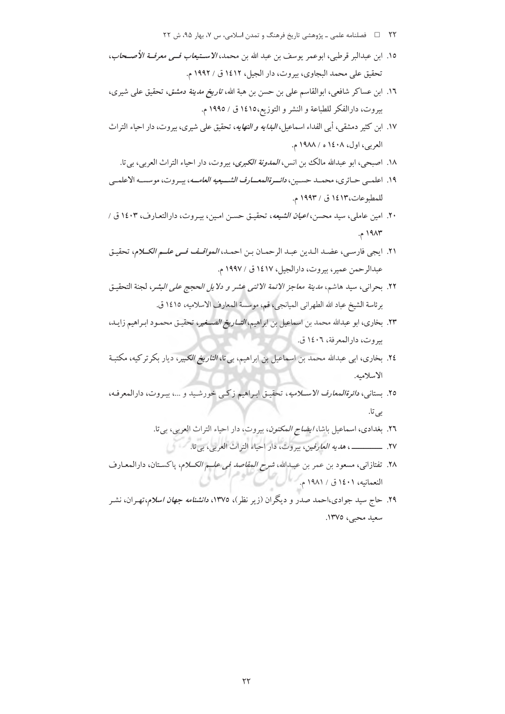- ۲۲ □ فصلنامه علمي ـ پژوهشي تاريخ فرهنگ و تمدن اسلامي، س ۷، بهار ۹۵، ش ۲۲
- ١٥. ابن عبدالبر قرطبي، ابوعمر يوسف بن عبد الله بن محمد، *الاسـتيعاب فــي معرفــة الأصــحاب*، تحقيق على محمد البجاوي، بيروت، دار الجيل، ١٤١٢ ق / ١٩٩٢ م.
- ١٦. ابن عساكر شافعي، ابوالقاسم على بن حسن بن هبة الله، ت*اريخ مدينة دمشق*، تحقيق على شيرى، بيروت، دارالفكر للطباعة و النشر و التوزيع،١٤١٥ ق / ١٩٩٥ م.
- ١٧. ابن كثير دمشقي، أبي الفداء اسماعيل، *البدايه و النهايه*، تحقيق على شيري، بيروت، دار احياء التراث العربي، اول، ١٤٠٨ ه / ١٩٨٨ م.
	- ١٨. اصبحي، ابو عبدالله مالك بن انس، *المدونة الكبرى*، بيروت، دار احياء التراث العربي، بي تا.
- ۱۹. اعلمـي حـائري، محمـد حسـين، *دائــرةالمعــارف الشــيعيه العامــه*، پيـروت، موسسـه الاعلمــي للمطبوعات،١٤١٣ ق / ١٩٩٣ م.
- ۲۰. امین عاملی، سید محسن، *اعیان الشیعه*، تحقیق حسن امین، بیروت، دارالتعـارف، ۱٤۰۳ ق / ١٩٨٣ م.
- ٢١. ايجي فارسي، عضـد الـدين عبـد الرحمـان بـن احمـد، *المواقـف فـي علـم الكــلام*، تحقيـق عبدالرحمن عمير، بيروت، دارالجيل، ١٤١٧ ق / ١٩٩٧ م.
- ٢٢. بحراني، سيد هاشم، *مدينة معاجز الائمة الاثنى عشر و دلايل الحجج على البشر*، لجنة التحقيق برئاسة الشيخ عباد الله الطهراني الميانجي، قم، موسسة المعارف الاسلاميه، ١٤١٥ ق.
- ٢٣. بخاري، ابو عبدالله محمد بن اسماعيل بن ابراهيم، *التــاريخ الصــغير*، تحقيـق محمـود ابـراهيم زايـد، سروت، دارالمعرفة، ١٤٠٦ ق.
- ۲٤. بخاری، ابی عبدالله محمد بن اسماعیل بن ابراهیم، بی¤ا، *التاریخ الکبیر*، دیار بکرترکیه، مکتبـة الاسلاميه.
- ٢٥. بستاني، *دائرةالمعارف الاســلاميه*، تحقيـق ابـراهيم زكـي خورشـيد و ...، بيـروت، دارالمعرفـه، بى تا.
	- ٢٦. بغدادي، اسماعيل باشا، *ايضاح المكنون*، بيروت، دار احياء التراث العربي، بيتا.
		-
- ۲۸. تفتازانی، مسعود بن عمر بن عبـدالله، *شرح المقاصد فی علــم الکــلام*، پاکسـتان، دارالمعـارف النعمانيه، ١٤٠١ ق / ١٩٨١ م.
- ۲۹. حاج سید جوادی،احمد صدر و دیگران (زیر نظر)، ۱۳۷۵، *دانشنامه جهان اسلام*،تهـران، نشـر سعيد محيى، ١٣٧٥.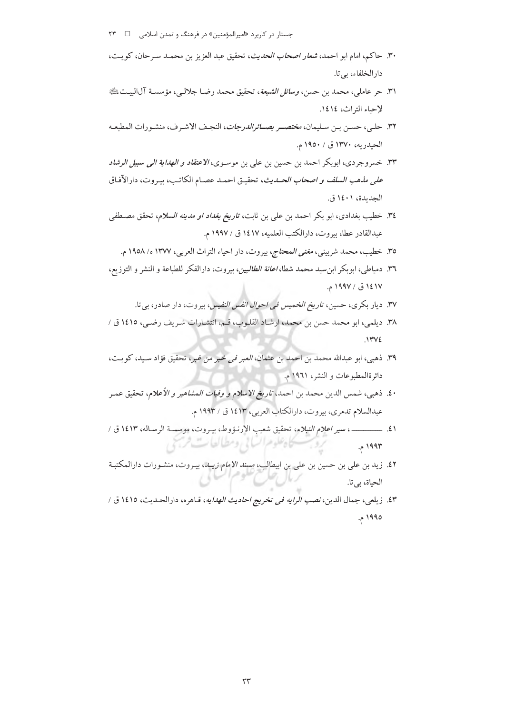- جستار در کاربرد «امیرالمؤمنین» در فرهنگ و تمدن اسلامی ه د ۲۳
- ٣٠. حاكم، امام ابو احمد، *شعار اصحاب الحديث*، تحقيق عبد العزيز بن محمـد سـرحان، كويـت، دارالخلفاء، بي تا.
- ٣١. حر عاملي، محمد بن حسن، *وسائل الشيعة*، تحقيق محمد رضـا جلالـي، مؤسسـة آل|لبيــتﷺ لإحباء التراث، ١٤١٤.
- ٣٢. حلبي، حسـن بـن سـليمان، *مختصــر بصــائرالدرجات*، النجـف الاشـرف، منشـورات المطبعـه الحيدريه، ١٣٧٠ ق / ١٩٥٠ م.
- ٣٣. خسروجردي، ابوبكر احمد بن حسين بن علي بن موسـوي، *الاعتقاد و الهداية الي سبيل الرشاد على مذهب السلف و اصحاب الحـدي*ث، تحقيـق احمـد عصـام الكاتـب، بيـروت، دارالآفـاق الحديدة، ١٤٠١ ق.
- ٣٤. خطيب بغدادي، ابو بكر احمد بن علي بن ثابت، *تاريخ بغداد او مدينه السلام*، تحقق مصطفى عبدالقادر عطا، بيروت، دارالكتب العلميه، ١٤١٧ ق / ١٩٩٧ م.
	- ٣٥. خطيب، محمد شربيني، *مغنى المحتاج*، بيروت، دار احياء التراث العربي، ١٣٧٧ ه/ ١٩٥٨ م.
- ٣٦. دمياطي، ابوبكر ابن سيد محمد شطا، *اعانة الطالبين*، بيروت، دارالفكر للطباعة و النشر و التوزيع، ١٤١٧ ق / ١٩٩٧ م.
	- ۳۷. دیار بکری، حسین، *تاریخ الخمیس فی احوال انفس النفیس،* بیروت، دار صادر، بی تا.
- ٣٨. ديلمي، ابو محمد حسن بن محمد، ارشاد القلـوب، قـم، انتشـارات شـريف رضـي، ١٤١٥ ق /  $.1442$
- ٣٩. ذهبي، ابو عبدالله محمد بن احمد بن عثمان، *العبر في خبر من غبر*، تحقيق فؤاد سـيد، كويـت، دائرةالمطبوعات و النشر، ۱۹۶۱ م.
- ٤٠. ذهبي، شمس الدين محمد بن احمد، *تاريخ الاسلام و وفيات المشاهير و الأعلام*، تحقيق عمـر عبدالسلام تدمري، بيروت، دارالكتاب العربي، ١٤١٣ ق / ١٩٩٣ م.
- ٤١. ــــــــــــــ ، سير اعلام النبلاء، تحقيق شعيب الارنـؤوط، بيـروت، موسسـة الرسـاله، ١٤١٣ ق / روسسكاه علوم السابي ومطالعات فرسخي ۱۹۹۳ م.
- ٤٢. زيد بن علي بن حسين بن علي بن ابيطالب، *مسند الامام زيــد*، بيـروت، منشـورات دارالمكتبـة<br>. الحباة، بي تا.
- ٤٣. زيلعي، جمال الدين، *نصب الرايه في تخريج احاديث الهدايه*، قـاهره، دارالحـديث، ١٤١٥ ق / ١٩٩٥ م.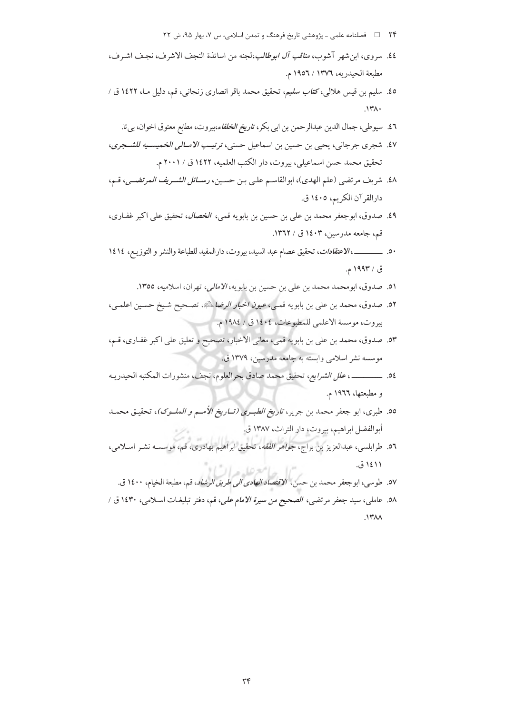- ۲۴ فصلنامه علمي ـ پژوهشي تاريخ فرهنگ و تمدن اسلامي، س ۷، بهار ۹۵، ش ۲۲
- ٤٤. سروى، ابن شهر آشوب، *مناقب آل ابوطالب*،لجنه من اساتذة النجف الاشرف، نجف اشـرف، مطبعة الحيدريه، ١٣٧٦ / ١٩٥٦ م.
- ٤٥. سليم بن قيس هلالي، كت*اب سليم*، تحقيق محمد باقر انصارى زنجاني، قم، دليل مـا، ١٤٢٢ ق /  $\mathcal{N}^{\star}$ 
	- ٤٦. سيوطي، جمال الدين عبدالرحمن بن ابي بكر، ت*اريخ الخلفاء*،بيروت، مطابع معتوق اخوان، بي تا.
- ٤٧. شجري جرجاني، يحيى بن حسين بن اسماعيل حسني، ترتيب الامبالي الخميسيه للشيجري، تحقيق محمد حسن اسماعيلي، بيروت، دار الكتب العلميه، ١٤٢٢ ق / ٢٠٠١ م.
- ٤٨. شريف مرتضى (علم الهدى)، ابوالقاسم علىي بـن حسـين، رســ*ائل الشــريف المرتضــي*، قـم، دارالقرآن الكريم، ١٤٠٥ ق.
- ٤٩. صدوق، ابوجعفر محمد بن علي بن حسين بن بابويه قمي، ا*لخصال*، تحقيق على اكبر غفـارى، قم، جامعه مدرسین، ۱٤۰۳ ق / ۱۳٦۲.
- ٥٠. ـــــــــــــــــ، الاعتقادات، تحقيق عصام عبد السيد، بيروت، دارالمفيد للطباعة والنشر و التوزيـع، ١٤١٤ ق / ۱۹۹۳ م.
	- ٥١. صدوق، ابومحمد محمد بن علي بن حسين بن بابويه، *الامالي،* تهران، اسلاميه، ١٣٥٥.
- ٥٢. صدوق، محمد بن علي بن بابويه قمـي، *عيون اخبار الرضا*ئلةِ، تصـحيح شـيخ حسـين اعلمـي، بيروت، موسسة الأعلمي للمطبوعات، ١٤٠٤ ق / ١٩٨٤ م.
- ٥٣. صدوق، محمد بن علي بن بابويه قمي، معاني الاخبار، تصحيح و تعليق علي اكبر غفـاري، قـم، موسسه نشر اسلامی وابسته به جامعه مدرسین، ۱۳۷۹ ق.
- 0٤. ــــــــــــــــــــ، *علل الشرايع،* تحقيق محمد صادق بحرالعلوم، نجف، منشورات المكتبه الحيدريـه و مطبعتها، ۱۹۶۲ م.
- 00. طبري، ابو جعفر محمد بن جرير، *تاريخ الطبـري (تــاريخ الأمــم و الملــوک)*، تحقيـق محمـد أبوالفضل ابراهيم، بيروت، دار التراث، ١٣٨٧ ق.
- ٥٦. طرابلسي، عبدالعزيز بن براج، *جواهر الفقه*، تحقيق ابراهيم بهادري، قم، موسسـه نشـر اسـلامي، ۱۱ ۱٤ ق.
- ٥٧. طوسي، ابوجعفر محمد بن حسن، الاقتصاد *العادي الي طريق الرشاد*، قم، مطبعة الخيام، ١٤٠٠ ق. ٥٨. عاملي، سيد جعفر مرتضى، *الصحيح من سيرة الامام علي*، قم، دفتر تبليغـات اسـلامي، ١٤٣٠ ق /  $\mathcal{N}$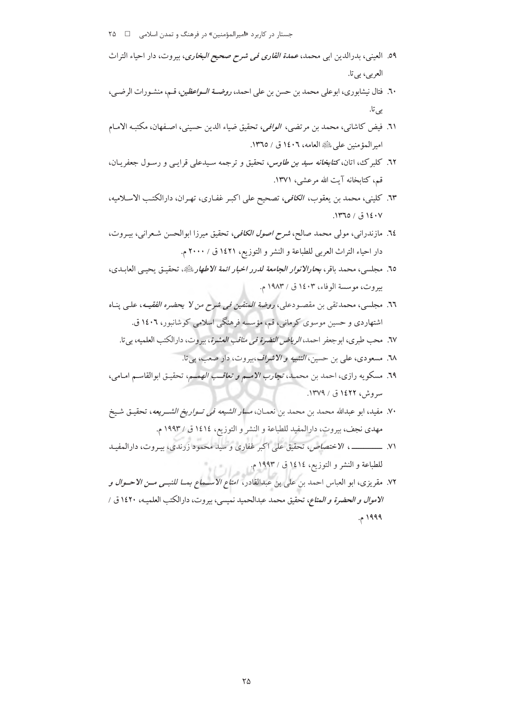- جستار در کاربرد «امیرالمؤمنین» در فرهنگ و تمدن اسلامی ه ه ۲۵
- ٥٩. العيني، بدرالدين ابي محمد، *عمدة القارى في شرح صحيح البخارى*، بيروت، دار احياء التراث العربي، بي تا.
- ٦٠. فتال نيشابوري، ابوعلي محمد بن حسن بن علي احمد، *روضــة الــواعظين*، قــم، منشـورات الرضــي، بے ،تا.
- ٦١. فيض كاشاني، محمد بن مرتضى، *الوافي*، تحقيق ضياء الدين حسيني، اصـفهان، مكتبـه الامـام امبر المؤمنين على عليه العامه، ١٤٠٦ ق / ١٣٦٥.
- ٦٢. كلبر ك، اتان، *كتابخانه سيد بن طاوس*، تحقيق و ترجمه سـيدعلى قرايـي و رسـول جعفريـان، قم، كتابخانه آيت الله مرعشى، ١٣٧١.
- ٦٣. كليني، محمد بن يعقوب، الكافي، تصحيح على اكبـر غفـاري، تهـران، دارالكتـب الاسـلاميه، ١٤٠٧ ق / ١٣٦٥.
- ٦٤. مازندراني، مولي محمد صالح، *شرح اصول الكافي*، تحقيق ميرزا ابوالحسن شعراني، بيـروت، دار احياء التراث العربي للطباعة و النشر و التوزيع، ١٤٢١ ق / ٢٠٠٠ م.
- ٦٥. مجلسي، محمد باقر، بحارالان*وار الجامعة لدرر اخبار ائمة الاطهار بلثَّةِ*، تحقيق يحيى العابـدي، بيروت، موسسة الوفاء، ١٤٠٣ ق / ١٩٨٣ م.
- ٦٦. مجلسي، محمدتقي بن مقصودعلي، ر*وضة المتقين في شرح من لا يحضره الفقيــه*، علـي بنــاه اشتهاردي و حسين موسوي كړمانې، قم، مؤسسه فرهنگي اسلامي كوشانبور، ١٤٠٦ ق.
	- .<br>٦٧. محب طبري، ابو جعفر احمد، *الرياض النضرة في مناقب العشرة*، بيروت، دارالكتب العلميه، بي تا.
		- ٦٨. مسعودي، علي بن حسين، *التنبيه و الاشراف*،بيروت، دار صعب، بي تا.
- ٦٩. مسكويه رازي، احمد بن محمـد، تج*ارب الامـم و تعاقـب الهمـم*، تحقيـق ابوالقاسـم امـامي، سروش، ۱۶۲۲ ق / ۱۳۷۹.
- ٧٠. مفيد، ابو عبدالله محمد بن محمد بن نعمـان، *مسار الشيعه في تــواريخ الشــريعه*، تحقيـق شـيخ مهدي نجف، بيروت، دارالمفيد للطباعة و النشر و التوزيع، ١٤١٤ ق / ١٩٩٣ م.
- ٧١. ــــــــــــــــــ ، الاختصاص، تحقيق على اكبر غفاري و سيد محمود زرندي، بيـروت، دارالمفيـد للطباعة و النشر و التوزيع، ١٤١٤ ق / ١٩٩٣ م.
- ٧٢. مقريزي، ابو العباس احمد بن علي بن عبدالقادر، *امتاع الاســماع بمــا للنبــي مــن الاحــوال و* الا*موال و الحضرة و المتاع*، تحقيق محمد عبدالحميد نميسي، بيروت، دارالكتب العلميـه، ١٤٢٠ ق / ۱۹۹۹ م.